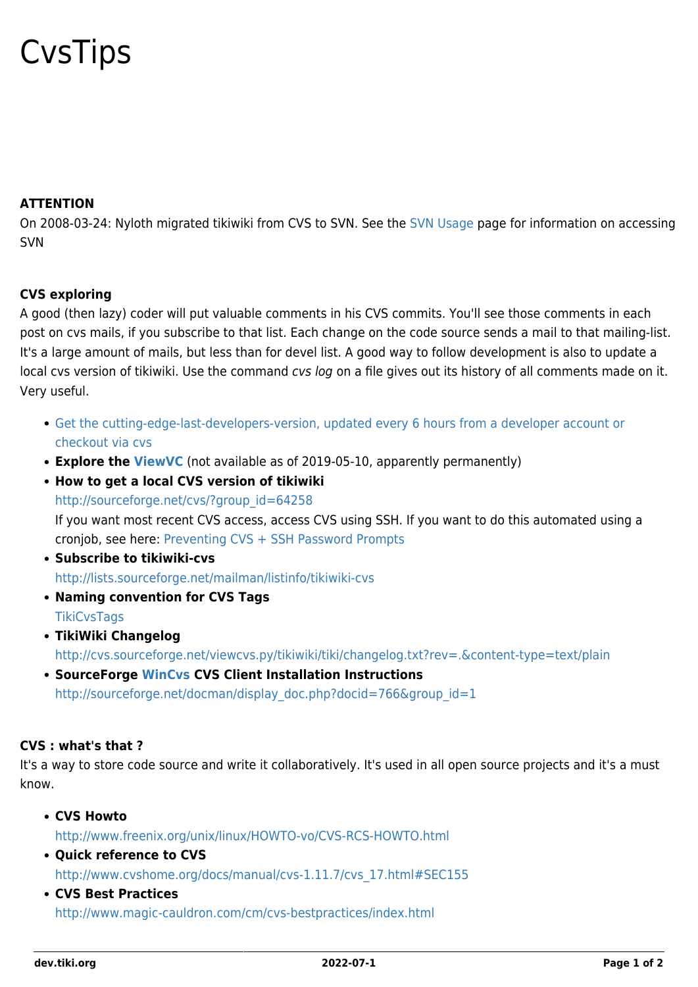## **CysTips**

## **ATTENTION**

On 2008-03-24: Nyloth migrated tikiwiki from CVS to SVN. See the [SVN Usage](https://dev.tiki.org/SVN-Usage) page for information on accessing SVN

## **CVS exploring**

A good (then lazy) coder will put valuable comments in his CVS commits. You'll see those comments in each post on cvs mails, if you subscribe to that list. Each change on the code source sends a mail to that mailing-list. It's a large amount of mails, but less than for devel list. A good way to follow development is also to update a local cvs version of tikiwiki. Use the command cvs log on a file gives out its history of all comments made on it. Very useful.

- [Get the cutting-edge-last-developers-version, updated every 6 hours from a developer account or](https://dev.tiki.org/Get-code) [checkout via cvs](https://dev.tiki.org/Get-code)
- **Explore the [ViewVC](http://tikiwiki.cvs.sourceforge.net/tikiwiki/tiki/)** (not available as of 2019-05-10, apparently permanently)
- **How to get a local CVS version of tikiwiki** [http://sourceforge.net/cvs/?group\\_id=64258](http://sourceforge.net/cvs/?group_id=64258) If you want most recent CVS access, access CVS using SSH. If you want to do this automated using a cronjob, see here: [Preventing CVS + SSH Password Prompts](http://www.joot.com/dave/writings/articles/cvs-ssh.html)
- **Subscribe to tikiwiki-cvs** <http://lists.sourceforge.net/mailman/listinfo/tikiwiki-cvs>
- **Naming convention for CVS Tags [TikiCvsTags](http://tiki.org/TikiCvsTags)**
- **TikiWiki Changelog** <http://cvs.sourceforge.net/viewcvs.py/tikiwiki/tiki/changelog.txt?rev=.&content-type=text/plain>
- **SourceForge [WinCvs](http://www.wincvs.org/) CVS Client Installation Instructions** [http://sourceforge.net/docman/display\\_doc.php?docid=766&group\\_id=1](http://sourceforge.net/docman/display_doc.php?docid=766&group_id=1)

## **CVS : what's that ?**

It's a way to store code source and write it collaboratively. It's used in all open source projects and it's a must know.

**CVS Howto**

<http://www.freenix.org/unix/linux/HOWTO-vo/CVS-RCS-HOWTO.html>

- **Ouick reference to CVS** [http://www.cvshome.org/docs/manual/cvs-1.11.7/cvs\\_17.html#SEC155](http://www.cvshome.org/docs/manual/cvs-1.11.7/cvs_17.html#SEC155)
- **CVS Best Practices** <http://www.magic-cauldron.com/cm/cvs-bestpractices/index.html>